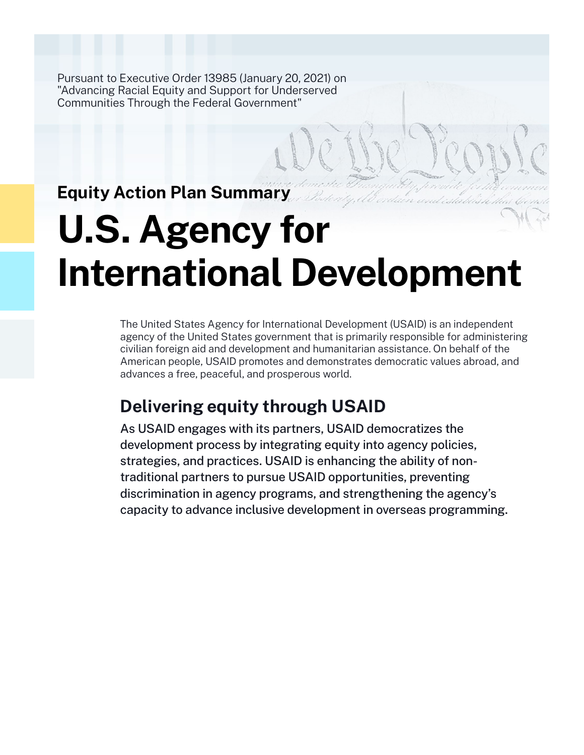Pursuant to Executive Order 13985 (January 20, 2021) on "Advancing Racial Equity and Support for Underserved Communities Through the Federal Government"

**Equity Action Plan Summary**

# **U.S. Agency for International Development**

The United States Agency for International Development (USAID) is an independent agency of the United States government that is primarily responsible for administering civilian foreign aid and development and humanitarian assistance. On behalf of the American people, USAID promotes and demonstrates democratic values abroad, and advances a free, peaceful, and prosperous world.

# **Delivering equity through USAID**

As USAID engages with its partners, USAID democratizes the development process by integrating equity into agency policies, strategies, and practices. USAID is enhancing the ability of nontraditional partners to pursue USAID opportunities, preventing discrimination in agency programs, and strengthening the agency's capacity to advance inclusive development in overseas programming.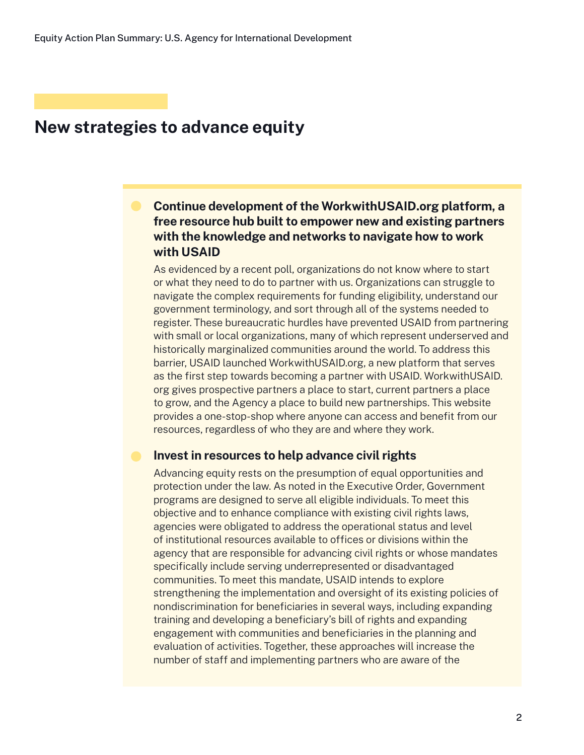## **New strategies to advance equity**

## **Continue development of the WorkwithUSAID.org platform, a free resource hub built to empower new and existing partners with the knowledge and networks to navigate how to work with USAID**

As evidenced by a recent poll, organizations do not know where to start or what they need to do to partner with us. Organizations can struggle to navigate the complex requirements for funding eligibility, understand our government terminology, and sort through all of the systems needed to register. These bureaucratic hurdles have prevented USAID from partnering with small or local organizations, many of which represent underserved and historically marginalized communities around the world. To address this barrier, USAID launched WorkwithUSAID.org, a new platform that serves as the first step towards becoming a partner with USAID. WorkwithUSAID. org gives prospective partners a place to start, current partners a place to grow, and the Agency a place to build new partnerships. This website provides a one-stop-shop where anyone can access and benefit from our resources, regardless of who they are and where they work.

#### **Invest in resources to help advance civil rights**

Advancing equity rests on the presumption of equal opportunities and protection under the law. As noted in the Executive Order, Government programs are designed to serve all eligible individuals. To meet this objective and to enhance compliance with existing civil rights laws, agencies were obligated to address the operational status and level of institutional resources available to offices or divisions within the agency that are responsible for advancing civil rights or whose mandates specifically include serving underrepresented or disadvantaged communities. To meet this mandate, USAID intends to explore strengthening the implementation and oversight of its existing policies of nondiscrimination for beneficiaries in several ways, including expanding training and developing a beneficiary's bill of rights and expanding engagement with communities and beneficiaries in the planning and evaluation of activities. Together, these approaches will increase the number of staff and implementing partners who are aware of the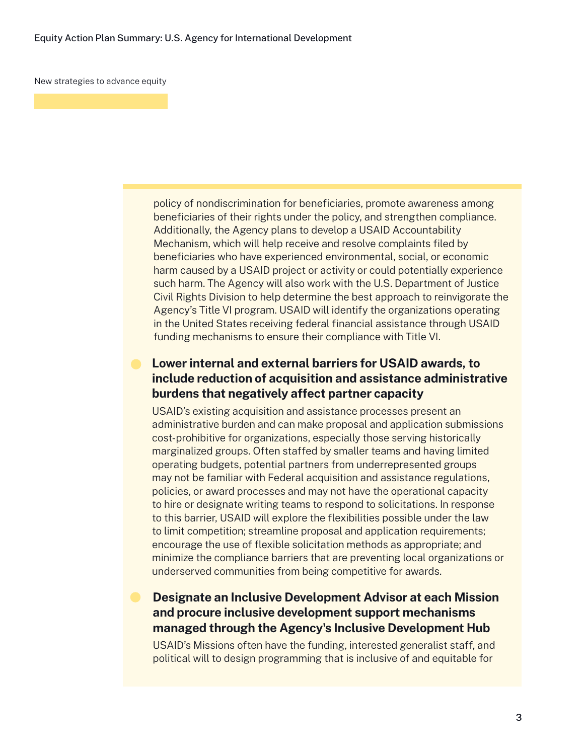New strategies to advance equity

policy of nondiscrimination for beneficiaries, promote awareness among beneficiaries of their rights under the policy, and strengthen compliance. Additionally, the Agency plans to develop a USAID Accountability Mechanism, which will help receive and resolve complaints filed by beneficiaries who have experienced environmental, social, or economic harm caused by a USAID project or activity or could potentially experience such harm. The Agency will also work with the U.S. Department of Justice Civil Rights Division to help determine the best approach to reinvigorate the Agency's Title VI program. USAID will identify the organizations operating in the United States receiving federal financial assistance through USAID funding mechanisms to ensure their compliance with Title VI.

### **Lower internal and external barriers for USAID awards, to include reduction of acquisition and assistance administrative burdens that negatively affect partner capacity**

USAID's existing acquisition and assistance processes present an administrative burden and can make proposal and application submissions cost-prohibitive for organizations, especially those serving historically marginalized groups. Often staffed by smaller teams and having limited operating budgets, potential partners from underrepresented groups may not be familiar with Federal acquisition and assistance regulations, policies, or award processes and may not have the operational capacity to hire or designate writing teams to respond to solicitations. In response to this barrier, USAID will explore the flexibilities possible under the law to limit competition; streamline proposal and application requirements; encourage the use of flexible solicitation methods as appropriate; and minimize the compliance barriers that are preventing local organizations or underserved communities from being competitive for awards.

## **Designate an Inclusive Development Advisor at each Mission and procure inclusive development support mechanisms managed through the Agency's Inclusive Development Hub**

USAID's Missions often have the funding, interested generalist staff, and political will to design programming that is inclusive of and equitable for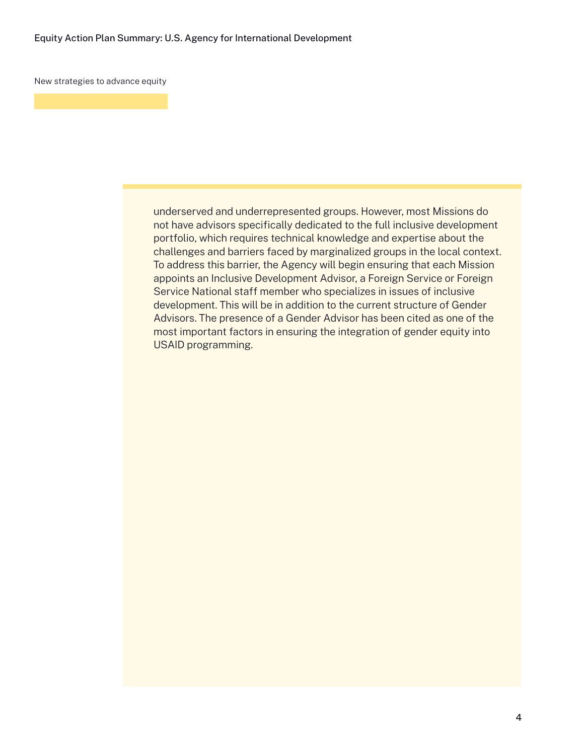New strategies to advance equity

underserved and underrepresented groups. However, most Missions do not have advisors specifically dedicated to the full inclusive development portfolio, which requires technical knowledge and expertise about the challenges and barriers faced by marginalized groups in the local context. To address this barrier, the Agency will begin ensuring that each Mission appoints an Inclusive Development Advisor, a Foreign Service or Foreign Service National staff member who specializes in issues of inclusive development. This will be in addition to the current structure of Gender Advisors. The presence of a Gender Advisor has been cited as one of the most important factors in ensuring the integration of gender equity into USAID programming.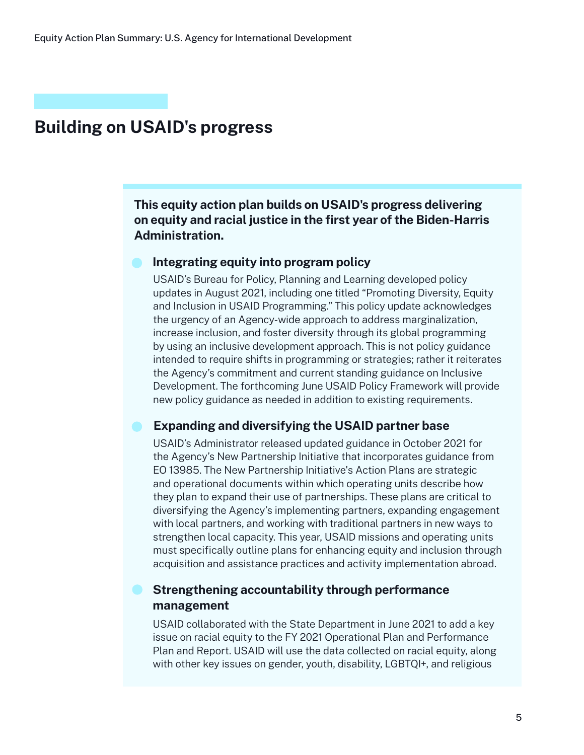# **Building on USAID's progress**

**This equity action plan builds on USAID's progress delivering on equity and racial justice in the first year of the Biden-Harris Administration.**

#### **Integrating equity into program policy**

USAID's Bureau for Policy, Planning and Learning developed policy updates in August 2021, including one titled "Promoting Diversity, Equity and Inclusion in USAID Programming." This policy update acknowledges the urgency of an Agency-wide approach to address marginalization, increase inclusion, and foster diversity through its global programming by using an inclusive development approach. This is not policy guidance intended to require shifts in programming or strategies; rather it reiterates the Agency's commitment and current standing guidance on Inclusive Development. The forthcoming June USAID Policy Framework will provide new policy guidance as needed in addition to existing requirements.

#### **Expanding and diversifying the USAID partner base**

USAID's Administrator released updated guidance in October 2021 for the Agency's New Partnership Initiative that incorporates guidance from EO 13985. The New Partnership Initiative's Action Plans are strategic and operational documents within which operating units describe how they plan to expand their use of partnerships. These plans are critical to diversifying the Agency's implementing partners, expanding engagement with local partners, and working with traditional partners in new ways to strengthen local capacity. This year, USAID missions and operating units must specifically outline plans for enhancing equity and inclusion through acquisition and assistance practices and activity implementation abroad.

### **Strengthening accountability through performance management**

USAID collaborated with the State Department in June 2021 to add a key issue on racial equity to the FY 2021 Operational Plan and Performance Plan and Report. USAID will use the data collected on racial equity, along with other key issues on gender, youth, disability, LGBTQI+, and religious